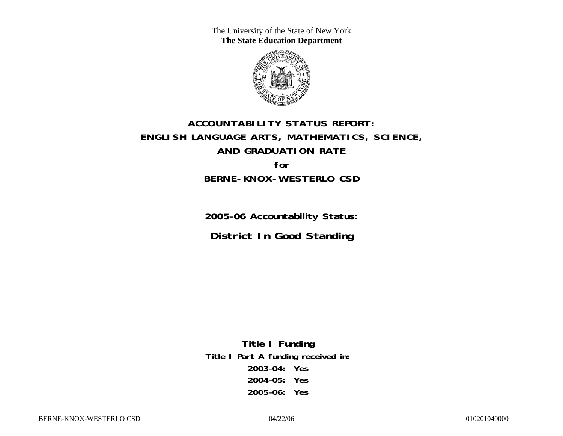The University of the State of New York **The State Education Department** 



# **ACCOUNTABILITY STATUS REPORT: ENGLISH LANGUAGE ARTS, MATHEMATICS, SCIENCE, AND GRADUATION RATE for BERNE-KNOX-WESTERLO CSD**

**2005–06 Accountability Status: District In Good Standing** 

**Title I Funding Title I Part A funding received in: 2003–04: Yes 2004–05: Yes 2005–06: Yes**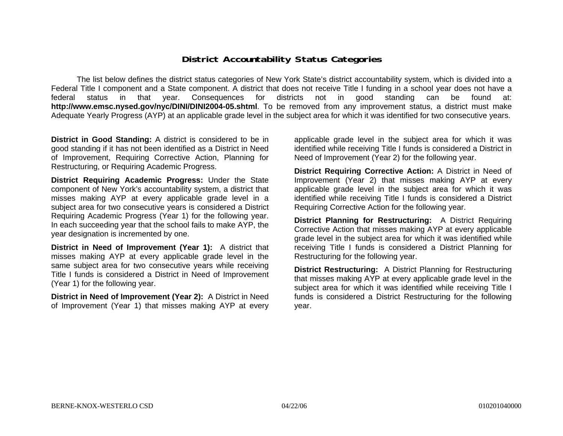### **District Accountability Status Categories**

The list below defines the district status categories of New York State's district accountability system, which is divided into a Federal Title I component and a State component. A district that does not receive Title I funding in a school year does not have a federal status in that year. Consequences for districts not in good standing can be found at: **http://www.emsc.nysed.gov/nyc/DINI/DINI2004-05.shtml**. To be removed from any improvement status, a district must make Adequate Yearly Progress (AYP) at an applicable grade level in the subject area for which it was identified for two consecutive years.

**District in Good Standing:** A district is considered to be in good standing if it has not been identified as a District in Need of Improvement, Requiring Corrective Action, Planning for Restructuring, or Requiring Academic Progress.

**District Requiring Academic Progress:** Under the State component of New York's accountability system, a district that misses making AYP at every applicable grade level in a subject area for two consecutive years is considered a District Requiring Academic Progress (Year 1) for the following year. In each succeeding year that the school fails to make AYP, the year designation is incremented by one.

**District in Need of Improvement (Year 1):** A district that misses making AYP at every applicable grade level in the same subject area for two consecutive years while receiving Title I funds is considered a District in Need of Improvement (Year 1) for the following year.

**District in Need of Improvement (Year 2):** A District in Need of Improvement (Year 1) that misses making AYP at every

applicable grade level in the subject area for which it was identified while receiving Title I funds is considered a District in Need of Improvement (Year 2) for the following year.

**District Requiring Corrective Action:** A District in Need of Improvement (Year 2) that misses making AYP at every applicable grade level in the subject area for which it was identified while receiving Title I funds is considered a District Requiring Corrective Action for the following year.

**District Planning for Restructuring:** A District Requiring Corrective Action that misses making AYP at every applicable grade level in the subject area for which it was identified while receiving Title I funds is considered a District Planning for Restructuring for the following year.

**District Restructuring:** A District Planning for Restructuring that misses making AYP at every applicable grade level in the subject area for which it was identified while receiving Title I funds is considered a District Restructuring for the following year.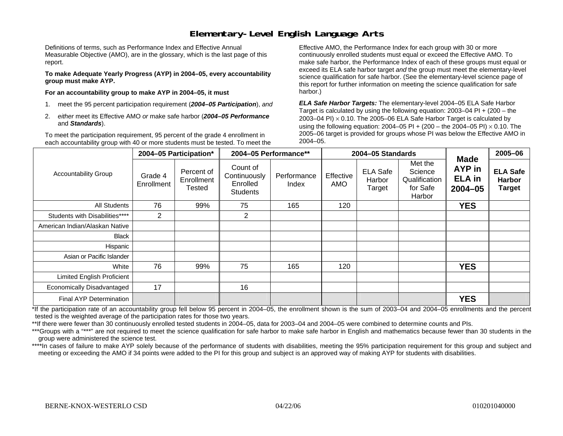## **Elementary-Level English Language Arts**

Definitions of terms, such as Performance Index and Effective Annual Measurable Objective (AMO), are in the glossary, which is the last page of this report.

**To make Adequate Yearly Progress (AYP) in 2004–05, every accountability group must make AYP.** 

**For an accountability group to make AYP in 2004–05, it must** 

- 1. meet the 95 percent participation requirement (*2004–05 Participation*), *and*
- 2. *either* meet its Effective AMO *or* make safe harbor (*2004–05 Performance*  and *Standards*).

To meet the participation requirement, 95 percent of the grade 4 enrollment in each accountability group with 40 or more students must be tested. To meet the

Effective AMO, the Performance Index for each group with 30 or more continuously enrolled students must equal or exceed the Effective AMO. To make safe harbor, the Performance Index of each of these groups must equal or exceed its ELA safe harbor target *and* the group must meet the elementary-level science qualification for safe harbor. (See the elementary-level science page of this report for further information on meeting the science qualification for safe harbor.)

*ELA Safe Harbor Targets:* The elementary-level 2004–05 ELA Safe Harbor Target is calculated by using the following equation: 2003–04 PI + (200 – the 2003–04 PI)  $\times$  0.10. The 2005–06 ELA Safe Harbor Target is calculated by using the following equation: 2004–05 PI + (200 – the 2004–05 PI) × 0.10. The 2005–06 target is provided for groups whose PI was below the Effective AMO in 2004–05.

|                                |                       | 2004-05 Participation*                    | 2004-05 Performance**                                   |                      | 2004-05 Standards |                                     |                                                           |                                                       | 2005-06                                           |
|--------------------------------|-----------------------|-------------------------------------------|---------------------------------------------------------|----------------------|-------------------|-------------------------------------|-----------------------------------------------------------|-------------------------------------------------------|---------------------------------------------------|
| <b>Accountability Group</b>    | Grade 4<br>Enrollment | Percent of<br>Enrollment<br><b>Tested</b> | Count of<br>Continuously<br>Enrolled<br><b>Students</b> | Performance<br>Index | Effective<br>AMO  | <b>ELA Safe</b><br>Harbor<br>Target | Met the<br>Science<br>Qualification<br>for Safe<br>Harbor | <b>Made</b><br>AYP in<br><b>ELA</b> in<br>$2004 - 05$ | <b>ELA Safe</b><br><b>Harbor</b><br><b>Target</b> |
| <b>All Students</b>            | 76                    | 99%                                       | 75                                                      | 165                  | 120               |                                     |                                                           | <b>YES</b>                                            |                                                   |
| Students with Disabilities**** | $\overline{2}$        |                                           | $\overline{2}$                                          |                      |                   |                                     |                                                           |                                                       |                                                   |
| American Indian/Alaskan Native |                       |                                           |                                                         |                      |                   |                                     |                                                           |                                                       |                                                   |
| <b>Black</b>                   |                       |                                           |                                                         |                      |                   |                                     |                                                           |                                                       |                                                   |
| Hispanic                       |                       |                                           |                                                         |                      |                   |                                     |                                                           |                                                       |                                                   |
| Asian or Pacific Islander      |                       |                                           |                                                         |                      |                   |                                     |                                                           |                                                       |                                                   |
| White                          | 76                    | 99%                                       | 75                                                      | 165                  | 120               |                                     |                                                           | <b>YES</b>                                            |                                                   |
| Limited English Proficient     |                       |                                           |                                                         |                      |                   |                                     |                                                           |                                                       |                                                   |
| Economically Disadvantaged     | 17                    |                                           | 16                                                      |                      |                   |                                     |                                                           |                                                       |                                                   |
| Final AYP Determination        |                       |                                           |                                                         |                      |                   |                                     |                                                           | <b>YES</b>                                            |                                                   |

\*If the participation rate of an accountability group fell below 95 percent in 2004–05, the enrollment shown is the sum of 2003–04 and 2004–05 enrollments and the percent tested is the weighted average of the participation rates for those two years.

\*\*If there were fewer than 30 continuously enrolled tested students in 2004–05, data for 2003–04 and 2004–05 were combined to determine counts and PIs.

\*\*\*Groups with a "\*\*\*" are not required to meet the science qualification for safe harbor to make safe harbor in English and mathematics because fewer than 30 students in the group were administered the science test.

\*\*\*\*In cases of failure to make AYP solely because of the performance of students with disabilities, meeting the 95% participation requirement for this group and subject and meeting or exceeding the AMO if 34 points were added to the PI for this group and subject is an approved way of making AYP for students with disabilities.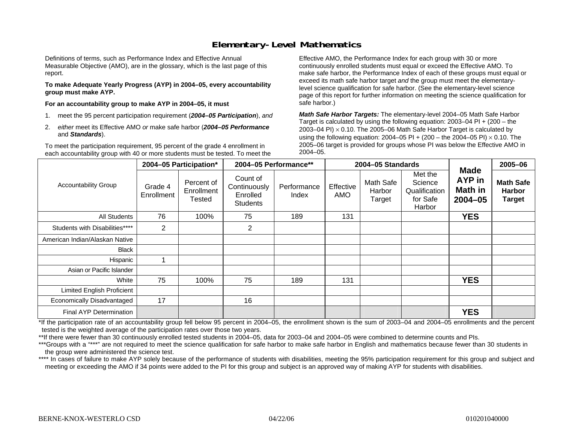## **Elementary-Level Mathematics**

Definitions of terms, such as Performance Index and Effective Annual Measurable Objective (AMO), are in the glossary, which is the last page of this report.

**To make Adequate Yearly Progress (AYP) in 2004–05, every accountability group must make AYP.** 

**For an accountability group to make AYP in 2004–05, it must** 

- 1. meet the 95 percent participation requirement (*2004–05 Participation*), *and*
- 2. *either* meet its Effective AMO *or* make safe harbor (*2004–05 Performance*  and *Standards*).

To meet the participation requirement, 95 percent of the grade 4 enrollment in each accountability group with 40 or more students must be tested. To meet the

Effective AMO, the Performance Index for each group with 30 or more continuously enrolled students must equal or exceed the Effective AMO. To make safe harbor, the Performance Index of each of these groups must equal or exceed its math safe harbor target *and* the group must meet the elementarylevel science qualification for safe harbor. (See the elementary-level science page of this report for further information on meeting the science qualification for safe harbor.)

*Math Safe Harbor Targets:* The elementary-level 2004–05 Math Safe Harbor Target is calculated by using the following equation: 2003–04 PI + (200 – the 2003–04 PI)  $\times$  0.10. The 2005–06 Math Safe Harbor Target is calculated by using the following equation: 2004–05 PI + (200 – the 2004–05 PI) × 0.10. The 2005–06 target is provided for groups whose PI was below the Effective AMO in 2004–05.

|                                   | 2004-05 Participation* |                                           | 2004-05 Performance**                                   |                      | 2004-05 Standards       |                               |                                                           |                                                 | 2005-06                                            |
|-----------------------------------|------------------------|-------------------------------------------|---------------------------------------------------------|----------------------|-------------------------|-------------------------------|-----------------------------------------------------------|-------------------------------------------------|----------------------------------------------------|
| <b>Accountability Group</b>       | Grade 4<br>Enrollment  | Percent of<br>Enrollment<br><b>Tested</b> | Count of<br>Continuously<br>Enrolled<br><b>Students</b> | Performance<br>Index | Effective<br><b>AMO</b> | Math Safe<br>Harbor<br>Target | Met the<br>Science<br>Qualification<br>for Safe<br>Harbor | <b>Made</b><br>AYP in<br>Math in<br>$2004 - 05$ | <b>Math Safe</b><br><b>Harbor</b><br><b>Target</b> |
| <b>All Students</b>               | 76                     | 100%                                      | 75                                                      | 189                  | 131                     |                               |                                                           | <b>YES</b>                                      |                                                    |
| Students with Disabilities****    | $\overline{2}$         |                                           | $\overline{2}$                                          |                      |                         |                               |                                                           |                                                 |                                                    |
| American Indian/Alaskan Native    |                        |                                           |                                                         |                      |                         |                               |                                                           |                                                 |                                                    |
| <b>Black</b>                      |                        |                                           |                                                         |                      |                         |                               |                                                           |                                                 |                                                    |
| Hispanic                          |                        |                                           |                                                         |                      |                         |                               |                                                           |                                                 |                                                    |
| Asian or Pacific Islander         |                        |                                           |                                                         |                      |                         |                               |                                                           |                                                 |                                                    |
| White                             | 75                     | 100%                                      | 75                                                      | 189                  | 131                     |                               |                                                           | <b>YES</b>                                      |                                                    |
| <b>Limited English Proficient</b> |                        |                                           |                                                         |                      |                         |                               |                                                           |                                                 |                                                    |
| Economically Disadvantaged        | 17                     |                                           | 16                                                      |                      |                         |                               |                                                           |                                                 |                                                    |
| <b>Final AYP Determination</b>    |                        |                                           |                                                         |                      |                         |                               |                                                           | <b>YES</b>                                      |                                                    |

\*If the participation rate of an accountability group fell below 95 percent in 2004–05, the enrollment shown is the sum of 2003–04 and 2004–05 enrollments and the percent tested is the weighted average of the participation rates over those two years.

\*\*If there were fewer than 30 continuously enrolled tested students in 2004–05, data for 2003–04 and 2004–05 were combined to determine counts and PIs.

\*\*\*Groups with a "\*\*\*" are not required to meet the science qualification for safe harbor to make safe harbor in English and mathematics because fewer than 30 students in the group were administered the science test.

\*\*\*\* In cases of failure to make AYP solely because of the performance of students with disabilities, meeting the 95% participation requirement for this group and subject and meeting or exceeding the AMO if 34 points were added to the PI for this group and subject is an approved way of making AYP for students with disabilities.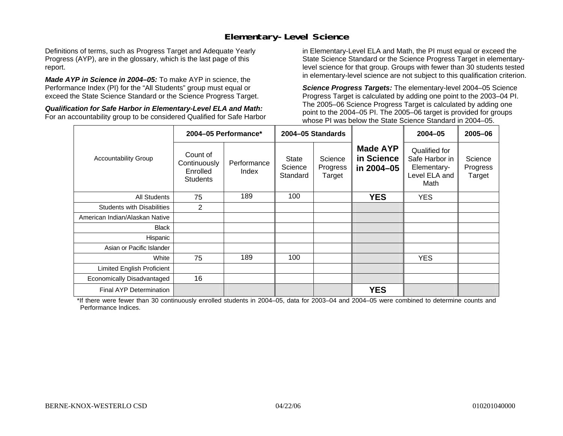## **Elementary-Level Science**

Definitions of terms, such as Progress Target and Adequate Yearly Progress (AYP), are in the glossary, which is the last page of this report.

*Made AYP in Science in 2004–05:* To make AYP in science, the Performance Index (PI) for the "All Students" group must equal or exceed the State Science Standard or the Science Progress Target.

*Qualification for Safe Harbor in Elementary-Level ELA and Math:* For an accountability group to be considered Qualified for Safe Harbor in Elementary-Level ELA and Math, the PI must equal or exceed the State Science Standard or the Science Progress Target in elementarylevel science for that group. Groups with fewer than 30 students tested in elementary-level science are not subject to this qualification criterion.

*Science Progress Targets:* The elementary-level 2004–05 Science Progress Target is calculated by adding one point to the 2003–04 PI. The 2005–06 Science Progress Target is calculated by adding one point to the 2004–05 PI. The 2005–06 target is provided for groups whose PI was below the State Science Standard in 2004–05.

|                                   |                                                         | 2004-05 Performance*                                                                  |     | 2004-05 Standards                           |                                                                         | 2004-05                       | 2005-06 |
|-----------------------------------|---------------------------------------------------------|---------------------------------------------------------------------------------------|-----|---------------------------------------------|-------------------------------------------------------------------------|-------------------------------|---------|
| <b>Accountability Group</b>       | Count of<br>Continuously<br>Enrolled<br><b>Students</b> | Science<br>State<br>Performance<br>Science<br>Progress<br>Index<br>Standard<br>Target |     | <b>Made AYP</b><br>in Science<br>in 2004-05 | Qualified for<br>Safe Harbor in<br>Elementary-<br>Level ELA and<br>Math | Science<br>Progress<br>Target |         |
| <b>All Students</b>               | 75                                                      | 189                                                                                   | 100 |                                             | <b>YES</b>                                                              | <b>YES</b>                    |         |
| <b>Students with Disabilities</b> | 2                                                       |                                                                                       |     |                                             |                                                                         |                               |         |
| American Indian/Alaskan Native    |                                                         |                                                                                       |     |                                             |                                                                         |                               |         |
| <b>Black</b>                      |                                                         |                                                                                       |     |                                             |                                                                         |                               |         |
| Hispanic                          |                                                         |                                                                                       |     |                                             |                                                                         |                               |         |
| Asian or Pacific Islander         |                                                         |                                                                                       |     |                                             |                                                                         |                               |         |
| White                             | 75                                                      | 189                                                                                   | 100 |                                             |                                                                         | <b>YES</b>                    |         |
| Limited English Proficient        |                                                         |                                                                                       |     |                                             |                                                                         |                               |         |
| Economically Disadvantaged        | 16                                                      |                                                                                       |     |                                             |                                                                         |                               |         |
| Final AYP Determination           |                                                         |                                                                                       |     |                                             | <b>YES</b>                                                              |                               |         |

\*If there were fewer than 30 continuously enrolled students in 2004–05, data for 2003–04 and 2004–05 were combined to determine counts and Performance Indices.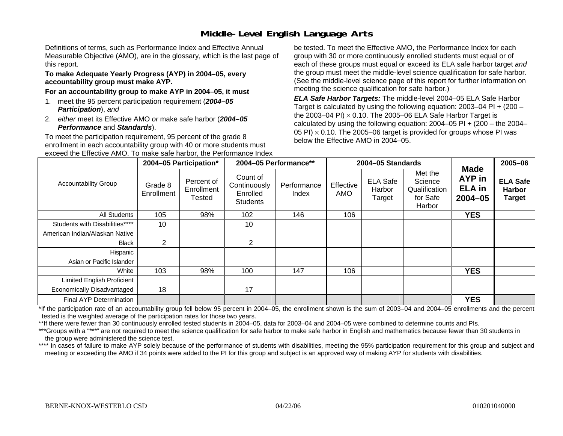# **Middle-Level English Language Arts**

Definitions of terms, such as Performance Index and Effective Annual Measurable Objective (AMO), are in the glossary, which is the last page of this report.

#### **To make Adequate Yearly Progress (AYP) in 2004–05, every accountability group must make AYP.**

#### **For an accountability group to make AYP in 2004–05, it must**

- 1. meet the 95 percent participation requirement (*2004–05 Participation*), *and*
- 2. *either* meet its Effective AMO *or* make safe harbor (*2004–05 Performance* and *Standards*).

To meet the participation requirement, 95 percent of the grade 8 enrollment in each accountability group with 40 or more students must exceed the Effective AMO. To make safe harbor, the Performance Index

be tested. To meet the Effective AMO, the Performance Index for each group with 30 or more continuously enrolled students must equal or of each of these groups must equal or exceed its ELA safe harbor target *and* the group must meet the middle-level science qualification for safe harbor. (See the middle-level science page of this report for further information on meeting the science qualification for safe harbor.)

*ELA Safe Harbor Targets:* The middle-level 2004–05 ELA Safe Harbor Target is calculated by using the following equation: 2003–04 PI + (200 – the 2003–04 PI) <sup>×</sup> 0.10. The 2005–06 ELA Safe Harbor Target is calculated by using the following equation:  $2004-05$  PI +  $(200 -$  the  $2004-$ 05 PI)  $\times$  0.10. The 2005–06 target is provided for groups whose PI was below the Effective AMO in 2004–05.

|                                | 2004-05 Participation* |                                           | 2004-05 Performance**                                   |                      |                  | 2004-05 Standards                   |                                                           | 2005-06                                        |                                                   |
|--------------------------------|------------------------|-------------------------------------------|---------------------------------------------------------|----------------------|------------------|-------------------------------------|-----------------------------------------------------------|------------------------------------------------|---------------------------------------------------|
| <b>Accountability Group</b>    | Grade 8<br>Enrollment  | Percent of<br>Enrollment<br><b>Tested</b> | Count of<br>Continuously<br>Enrolled<br><b>Students</b> | Performance<br>Index | Effective<br>AMO | <b>ELA Safe</b><br>Harbor<br>Target | Met the<br>Science<br>Qualification<br>for Safe<br>Harbor | Made<br>AYP in<br><b>ELA</b> in<br>$2004 - 05$ | <b>ELA Safe</b><br><b>Harbor</b><br><b>Target</b> |
| All Students                   | 105                    | 98%                                       | 102                                                     | 146                  | 106              |                                     |                                                           | <b>YES</b>                                     |                                                   |
| Students with Disabilities**** | 10                     |                                           | 10                                                      |                      |                  |                                     |                                                           |                                                |                                                   |
| American Indian/Alaskan Native |                        |                                           |                                                         |                      |                  |                                     |                                                           |                                                |                                                   |
| Black                          | 2                      |                                           | 2                                                       |                      |                  |                                     |                                                           |                                                |                                                   |
| Hispanic                       |                        |                                           |                                                         |                      |                  |                                     |                                                           |                                                |                                                   |
| Asian or Pacific Islander      |                        |                                           |                                                         |                      |                  |                                     |                                                           |                                                |                                                   |
| White                          | 103                    | 98%                                       | 100                                                     | 147                  | 106              |                                     |                                                           | <b>YES</b>                                     |                                                   |
| Limited English Proficient     |                        |                                           |                                                         |                      |                  |                                     |                                                           |                                                |                                                   |
| Economically Disadvantaged     | 18                     |                                           | 17                                                      |                      |                  |                                     |                                                           |                                                |                                                   |
| Final AYP Determination        |                        |                                           |                                                         |                      |                  |                                     |                                                           | <b>YES</b>                                     |                                                   |

\*If the participation rate of an accountability group fell below 95 percent in 2004–05, the enrollment shown is the sum of 2003–04 and 2004–05 enrollments and the percent tested is the weighted average of the participation rates for those two years.

\*\*If there were fewer than 30 continuously enrolled tested students in 2004–05, data for 2003–04 and 2004–05 were combined to determine counts and PIs.

\*\*\*Groups with a "\*\*\*" are not required to meet the science qualification for safe harbor to make safe harbor in English and mathematics because fewer than 30 students in the group were administered the science test.

\*\*\*\* In cases of failure to make AYP solely because of the performance of students with disabilities, meeting the 95% participation requirement for this group and subject and meeting or exceeding the AMO if 34 points were added to the PI for this group and subject is an approved way of making AYP for students with disabilities.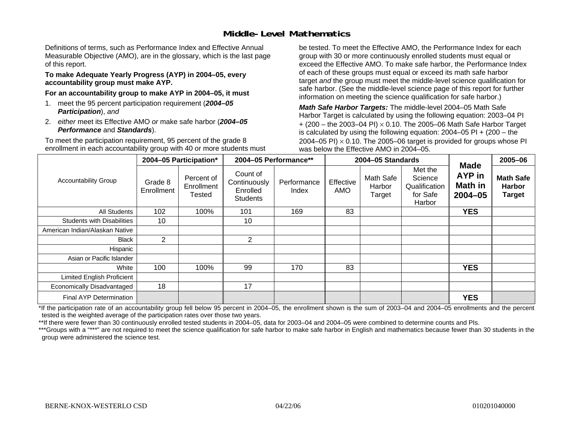## **Middle-Level Mathematics**

Definitions of terms, such as Performance Index and Effective Annual Measurable Objective (AMO), are in the glossary, which is the last page of this report.

#### **To make Adequate Yearly Progress (AYP) in 2004–05, every accountability group must make AYP.**

**For an accountability group to make AYP in 2004–05, it must** 

- 1. meet the 95 percent participation requirement (*2004–05 Participation*), *and*
- 2. *either* meet its Effective AMO *or* make safe harbor (*2004–05 Performance* and *Standards*).

To meet the participation requirement, 95 percent of the grade 8 enrollment in each accountability group with 40 or more students must be tested. To meet the Effective AMO, the Performance Index for each group with 30 or more continuously enrolled students must equal or exceed the Effective AMO. To make safe harbor, the Performance Index of each of these groups must equal or exceed its math safe harbor target *and* the group must meet the middle-level science qualification for safe harbor. (See the middle-level science page of this report for further information on meeting the science qualification for safe harbor.)

*Math Safe Harbor Targets:* The middle-level 2004–05 Math Safe Harbor Target is calculated by using the following equation: 2003–04 PI + (200 – the 2003–04 PI) <sup>×</sup> 0.10. The 2005–06 Math Safe Harbor Target is calculated by using the following equation: 2004–05 PI + (200 – the 2004–05 PI)  $\times$  0.10. The 2005–06 target is provided for groups whose PI was below the Effective AMO in 2004–05.

|                                   |                       | 2004-05 Participation*                    |                                                         | 2004-05 Performance** |                  | 2004-05 Standards             |                                                           | 2005-06                                                       |                                                    |
|-----------------------------------|-----------------------|-------------------------------------------|---------------------------------------------------------|-----------------------|------------------|-------------------------------|-----------------------------------------------------------|---------------------------------------------------------------|----------------------------------------------------|
| <b>Accountability Group</b>       | Grade 8<br>Enrollment | Percent of<br>Enrollment<br><b>Tested</b> | Count of<br>Continuously<br>Enrolled<br><b>Students</b> | Performance<br>Index  | Effective<br>AMO | Math Safe<br>Harbor<br>Target | Met the<br>Science<br>Qualification<br>for Safe<br>Harbor | <b>Made</b><br><b>AYP</b> in<br><b>Math in</b><br>$2004 - 05$ | <b>Math Safe</b><br><b>Harbor</b><br><b>Target</b> |
| All Students                      | 102                   | 100%                                      | 101                                                     | 169                   | 83               |                               |                                                           | <b>YES</b>                                                    |                                                    |
| <b>Students with Disabilities</b> | 10                    |                                           | 10                                                      |                       |                  |                               |                                                           |                                                               |                                                    |
| American Indian/Alaskan Native    |                       |                                           |                                                         |                       |                  |                               |                                                           |                                                               |                                                    |
| Black                             | $\overline{2}$        |                                           | 2                                                       |                       |                  |                               |                                                           |                                                               |                                                    |
| Hispanic                          |                       |                                           |                                                         |                       |                  |                               |                                                           |                                                               |                                                    |
| Asian or Pacific Islander         |                       |                                           |                                                         |                       |                  |                               |                                                           |                                                               |                                                    |
| White                             | 100                   | 100%                                      | 99                                                      | 170                   | 83               |                               |                                                           | <b>YES</b>                                                    |                                                    |
| Limited English Proficient        |                       |                                           |                                                         |                       |                  |                               |                                                           |                                                               |                                                    |
| Economically Disadvantaged        | 18                    |                                           | 17                                                      |                       |                  |                               |                                                           |                                                               |                                                    |
| <b>Final AYP Determination</b>    |                       |                                           |                                                         |                       |                  |                               |                                                           | <b>YES</b>                                                    |                                                    |

\*If the participation rate of an accountability group fell below 95 percent in 2004–05, the enrollment shown is the sum of 2003–04 and 2004–05 enrollments and the percent tested is the weighted average of the participation rates over those two years.

\*\*If there were fewer than 30 continuously enrolled tested students in 2004–05, data for 2003–04 and 2004–05 were combined to determine counts and PIs.

\*\*\*Groups with a "\*\*\*" are not required to meet the science qualification for safe harbor to make safe harbor in English and mathematics because fewer than 30 students in the group were administered the science test.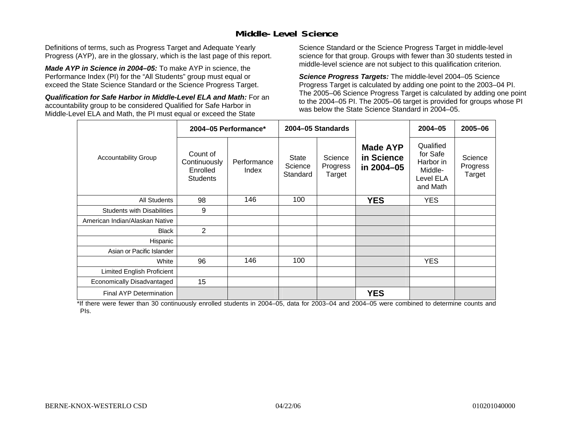## **Middle-Level Science**

Definitions of terms, such as Progress Target and Adequate Yearly Progress (AYP), are in the glossary, which is the last page of this report.

*Made AYP in Science in 2004–05:* To make AYP in science, the Performance Index (PI) for the "All Students" group must equal or exceed the State Science Standard or the Science Progress Target.

*Qualification for Safe Harbor in Middle-Level ELA and Math:* For an accountability group to be considered Qualified for Safe Harbor in Middle-Level ELA and Math, the PI must equal or exceed the State

Science Standard or the Science Progress Target in middle-level science for that group. Groups with fewer than 30 students tested in middle-level science are not subject to this qualification criterion.

*Science Progress Targets:* The middle-level 2004–05 Science Progress Target is calculated by adding one point to the 2003–04 PI. The 2005–06 Science Progress Target is calculated by adding one point to the 2004–05 PI. The 2005–06 target is provided for groups whose PI was below the State Science Standard in 2004–05.

|                                   |                                                         | 2004-05 Performance* |                                     | 2004-05 Standards             |                                             | $2004 - 05$                                                            | 2005-06                       |
|-----------------------------------|---------------------------------------------------------|----------------------|-------------------------------------|-------------------------------|---------------------------------------------|------------------------------------------------------------------------|-------------------------------|
| <b>Accountability Group</b>       | Count of<br>Continuously<br>Enrolled<br><b>Students</b> | Performance<br>Index | <b>State</b><br>Science<br>Standard | Science<br>Progress<br>Target | <b>Made AYP</b><br>in Science<br>in 2004-05 | Qualified<br>for Safe<br>Harbor in<br>Middle-<br>Level ELA<br>and Math | Science<br>Progress<br>Target |
| <b>All Students</b>               | 98                                                      | 146                  | 100                                 |                               | <b>YES</b>                                  | <b>YES</b>                                                             |                               |
| <b>Students with Disabilities</b> | 9                                                       |                      |                                     |                               |                                             |                                                                        |                               |
| American Indian/Alaskan Native    |                                                         |                      |                                     |                               |                                             |                                                                        |                               |
| <b>Black</b>                      | 2                                                       |                      |                                     |                               |                                             |                                                                        |                               |
| Hispanic                          |                                                         |                      |                                     |                               |                                             |                                                                        |                               |
| Asian or Pacific Islander         |                                                         |                      |                                     |                               |                                             |                                                                        |                               |
| White                             | 96                                                      | 146                  | 100                                 |                               |                                             | <b>YES</b>                                                             |                               |
| Limited English Proficient        |                                                         |                      |                                     |                               |                                             |                                                                        |                               |
| Economically Disadvantaged        | 15                                                      |                      |                                     |                               |                                             |                                                                        |                               |
| <b>Final AYP Determination</b>    |                                                         |                      |                                     |                               | <b>YES</b>                                  |                                                                        |                               |

\*If there were fewer than 30 continuously enrolled students in 2004–05, data for 2003–04 and 2004–05 were combined to determine counts and PIs.